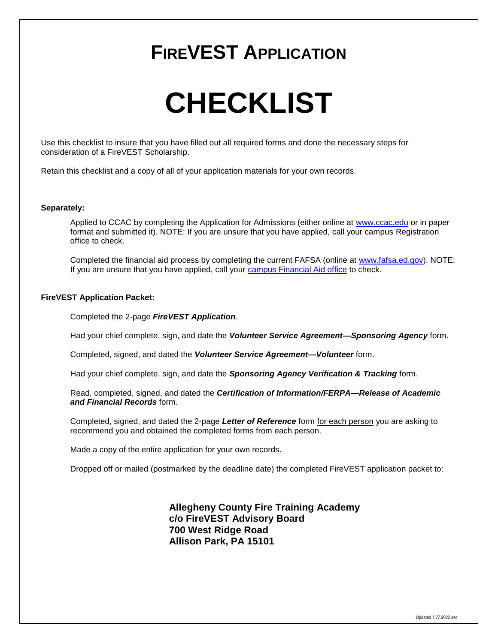## **FIREVEST APPLICATION**

# **CHECKLIST**

Use this checklist to insure that you have filled out all required forms and done the necessary steps for consideration of a FireVEST Scholarship.

Retain this checklist and a copy of all of your application materials for your own records.

#### **Separately:**

Applied to CCAC by completing the Application for Admissions (either online at [www.ccac.edu](http://www.ccac.edu/) or in paper format and submitted it). NOTE: If you are unsure that you have applied, call your campus Registration office to check.

Completed the financial aid process by completing the current FAFSA (online at [www.fafsa.ed.gov\)](http://www.fafsa.ed.gov/). NOTE: If you are unsure that you have applied, call your [campus Financial Aid office](https://www.ccac.edu/financial-aid/index.php) to check.

#### **FireVEST Application Packet:**

Completed the 2-page *FireVEST Application*.

Had your chief complete, sign, and date the *Volunteer Service Agreement—Sponsoring Agency* form.

Completed, signed, and dated the *Volunteer Service Agreement—Volunteer* form.

Had your chief complete, sign, and date the *Sponsoring Agency Verification & Tracking* form.

Read, completed, signed, and dated the *Certification of Information/FERPA—Release of Academic and Financial Records* form.

Completed, signed, and dated the 2-page *Letter of Reference* form for each person you are asking to recommend you and obtained the completed forms from each person.

Made a copy of the entire application for your own records.

Dropped off or mailed (postmarked by the deadline date) the completed FireVEST application packet to:

**Allegheny County Fire Training Academy c/o FireVEST Advisory Board 700 West Ridge Road Allison Park, PA 15101**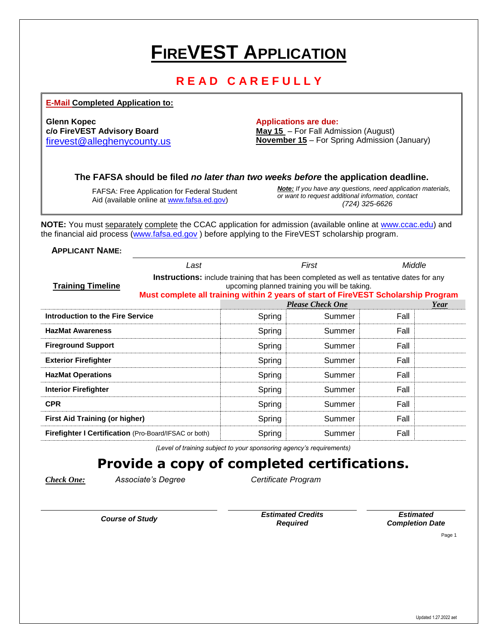## **FIREVEST APPLICATION**

### **R E A D C A R E F U L L Y**

**E-Mail Completed Application to:**

**Glenn Kopec Applications are due: Applications are due:** 

**c/o FireVEST Advisory Board May 15** – For Fall Admission (August) [firevest@alleghenycounty.us](mailto:firevest@alleghenycounty.us) **November 15** – For Spring Admission (January)

**The FAFSA should be filed** *no later than two weeks before* **the application deadline.**

FAFSA: Free Application for Federal Student Aid (available online at [www.fafsa.ed.gov\)](http://www.fafsa.ed.gov/)

*Note: If you have any questions, need application materials, or want to request additional information, contact (724) 325-6626*

**NOTE:** You must separately complete the CCAC application for admission (available online at [www.ccac.edu\)](http://www.ccac.edu/) and the financial aid process [\(www.fafsa.ed.gov](http://www.fafsa.ed.gov/)) before applying to the FireVEST scholarship program.

**APPLICANT NAME:**

|                                                       | Last                                                                                                                                                                                                                                    |        | First                   | Middle |  |  |
|-------------------------------------------------------|-----------------------------------------------------------------------------------------------------------------------------------------------------------------------------------------------------------------------------------------|--------|-------------------------|--------|--|--|
| <b>Training Timeline</b>                              | <b>Instructions:</b> include training that has been completed as well as tentative dates for any<br>upcoming planned training you will be taking.<br>Must complete all training within 2 years of start of FireVEST Scholarship Program |        |                         |        |  |  |
|                                                       |                                                                                                                                                                                                                                         |        | <b>Please Check One</b> | Year   |  |  |
| Introduction to the Fire Service                      |                                                                                                                                                                                                                                         | Spring | Summer                  | Fall   |  |  |
| <b>HazMat Awareness</b>                               |                                                                                                                                                                                                                                         | Spring | Summer                  | Fall   |  |  |
| <b>Fireground Support</b>                             |                                                                                                                                                                                                                                         | Spring | Summer                  | Fall   |  |  |
| <b>Exterior Firefighter</b>                           |                                                                                                                                                                                                                                         | Spring | Summer                  | Fall   |  |  |
| <b>HazMat Operations</b>                              |                                                                                                                                                                                                                                         | Spring | Summer                  | Fall   |  |  |
| <b>Interior Firefighter</b>                           |                                                                                                                                                                                                                                         | Spring | Summer                  | Fall   |  |  |
| <b>CPR</b>                                            |                                                                                                                                                                                                                                         | Spring | Summer                  | Fall   |  |  |
| <b>First Aid Training (or higher)</b>                 |                                                                                                                                                                                                                                         | Spring | Summer                  | Fall   |  |  |
| Firefighter I Certification (Pro-Board/IFSAC or both) |                                                                                                                                                                                                                                         | Spring | Summer                  | Fall   |  |  |

*(Level of training subject to your sponsoring agency's requirements)*

## **Provide a copy of completed certifications.**

*Check One: Associate's Degree Certificate Program*

*Course of Study Estimated Credits Required*

*Estimated Completion Date*

Page 1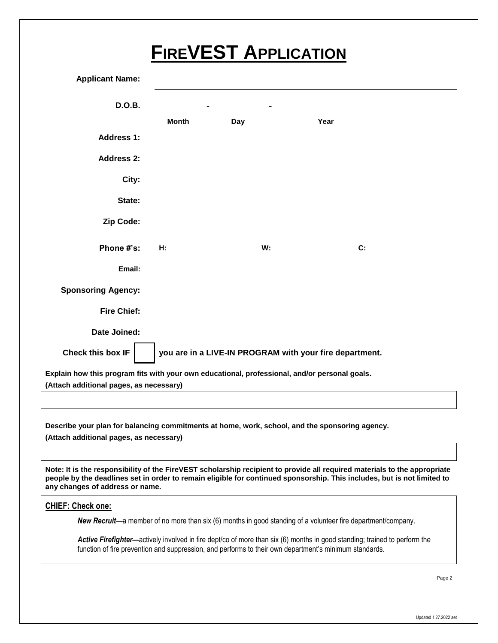## **FIREVEST APPLICATION**

| <b>Applicant Name:</b>                                                                                                                   |              |     |                                                                                                |  |  |  |  |  |
|------------------------------------------------------------------------------------------------------------------------------------------|--------------|-----|------------------------------------------------------------------------------------------------|--|--|--|--|--|
| <b>D.O.B.</b>                                                                                                                            |              |     | Year<br>C:<br>W:                                                                               |  |  |  |  |  |
|                                                                                                                                          | <b>Month</b> | Day |                                                                                                |  |  |  |  |  |
| <b>Address 1:</b>                                                                                                                        |              |     |                                                                                                |  |  |  |  |  |
| <b>Address 2:</b>                                                                                                                        |              |     |                                                                                                |  |  |  |  |  |
| City:                                                                                                                                    |              |     |                                                                                                |  |  |  |  |  |
| State:                                                                                                                                   |              |     |                                                                                                |  |  |  |  |  |
| Zip Code:                                                                                                                                |              |     |                                                                                                |  |  |  |  |  |
| Phone #'s:                                                                                                                               | H:           |     |                                                                                                |  |  |  |  |  |
| Email:                                                                                                                                   |              |     |                                                                                                |  |  |  |  |  |
| <b>Sponsoring Agency:</b>                                                                                                                |              |     |                                                                                                |  |  |  |  |  |
| <b>Fire Chief:</b>                                                                                                                       |              |     |                                                                                                |  |  |  |  |  |
| Date Joined:                                                                                                                             |              |     |                                                                                                |  |  |  |  |  |
| Check this box IF<br>you are in a LIVE-IN PROGRAM with your fire department.                                                             |              |     |                                                                                                |  |  |  |  |  |
| Explain how this program fits with your own educational, professional, and/or personal goals.<br>(Attach additional pages, as necessary) |              |     |                                                                                                |  |  |  |  |  |
|                                                                                                                                          |              |     |                                                                                                |  |  |  |  |  |
|                                                                                                                                          |              |     | Describe your plan for balancing commitments at home, work, school, and the sponsoring agency. |  |  |  |  |  |

**(Attach additional pages, as necessary)**

**Note: It is the responsibility of the FireVEST scholarship recipient to provide all required materials to the appropriate people by the deadlines set in order to remain eligible for continued sponsorship. This includes, but is not limited to any changes of address or name.**

#### **CHIEF: Check one:**

*New Recruit*—a member of no more than six (6) months in good standing of a volunteer fire department/company.

Active Firefighter—actively involved in fire dept/co of more than six (6) months in good standing; trained to perform the function of fire prevention and suppression, and performs to their own department's minimum standards.

Page 2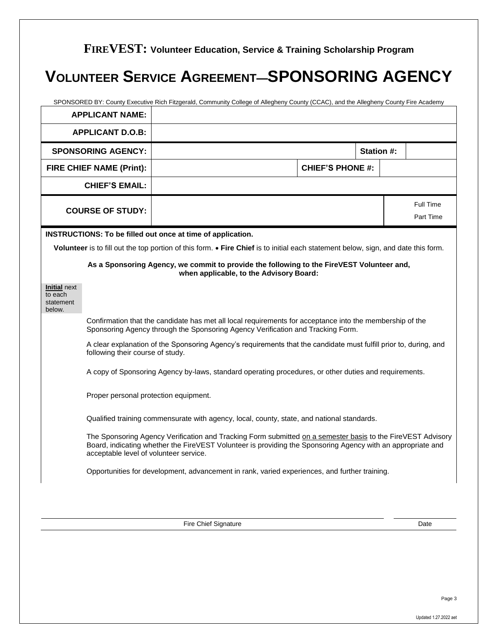## **VOLUNTEER SERVICE AGREEMENT—SPONSORING AGENCY**

|                                                       | <b>APPLICANT NAME:</b>                 | SPONSORED BY: County Executive Rich Fitzgerald, Community College of Allegheny County (CCAC), and the Allegheny County Fire Academy                                                                                        |                         |           |
|-------------------------------------------------------|----------------------------------------|----------------------------------------------------------------------------------------------------------------------------------------------------------------------------------------------------------------------------|-------------------------|-----------|
|                                                       | <b>APPLICANT D.O.B:</b>                |                                                                                                                                                                                                                            |                         |           |
|                                                       | <b>SPONSORING AGENCY:</b>              |                                                                                                                                                                                                                            | Station #:              |           |
|                                                       | FIRE CHIEF NAME (Print):               |                                                                                                                                                                                                                            | <b>CHIEF'S PHONE #:</b> |           |
|                                                       | <b>CHIEF'S EMAIL:</b>                  |                                                                                                                                                                                                                            |                         |           |
|                                                       | <b>COURSE OF STUDY:</b>                |                                                                                                                                                                                                                            |                         | Full Time |
|                                                       |                                        |                                                                                                                                                                                                                            |                         | Part Time |
|                                                       |                                        | INSTRUCTIONS: To be filled out once at time of application.                                                                                                                                                                |                         |           |
|                                                       |                                        | Volunteer is to fill out the top portion of this form. • Fire Chief is to initial each statement below, sign, and date this form.                                                                                          |                         |           |
|                                                       |                                        | As a Sponsoring Agency, we commit to provide the following to the FireVEST Volunteer and,<br>when applicable, to the Advisory Board:                                                                                       |                         |           |
| <b>Initial next</b><br>to each<br>statement<br>below. |                                        |                                                                                                                                                                                                                            |                         |           |
|                                                       |                                        | Confirmation that the candidate has met all local requirements for acceptance into the membership of the<br>Sponsoring Agency through the Sponsoring Agency Verification and Tracking Form.                                |                         |           |
|                                                       | following their course of study.       | A clear explanation of the Sponsoring Agency's requirements that the candidate must fulfill prior to, during, and                                                                                                          |                         |           |
|                                                       |                                        | A copy of Sponsoring Agency by-laws, standard operating procedures, or other duties and requirements.                                                                                                                      |                         |           |
|                                                       | Proper personal protection equipment.  |                                                                                                                                                                                                                            |                         |           |
|                                                       |                                        | Qualified training commensurate with agency, local, county, state, and national standards.                                                                                                                                 |                         |           |
|                                                       | acceptable level of volunteer service. | The Sponsoring Agency Verification and Tracking Form submitted on a semester basis to the FireVEST Advisory<br>Board, indicating whether the FireVEST Volunteer is providing the Sponsoring Agency with an appropriate and |                         |           |
|                                                       |                                        | Opportunities for development, advancement in rank, varied experiences, and further training.                                                                                                                              |                         |           |
|                                                       |                                        |                                                                                                                                                                                                                            |                         |           |
|                                                       |                                        | Fire Chief Signature                                                                                                                                                                                                       |                         | Date      |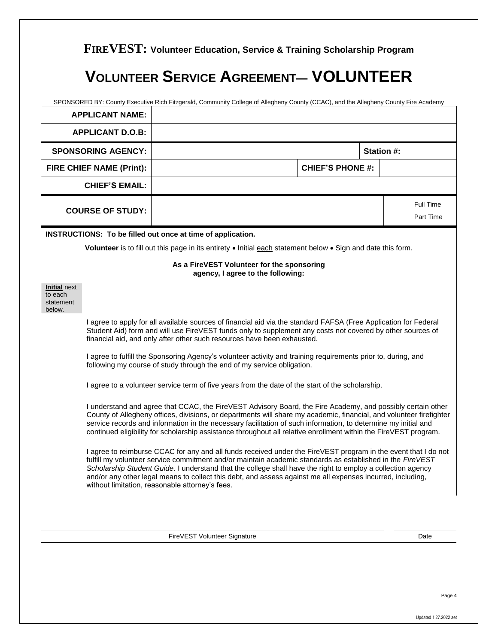## **VOLUNTEER SERVICE AGREEMENT— VOLUNTEER**

|                                                       | SPONSORED BY: County Executive Rich Fitzgerald, Community College of Allegheny County (CCAC), and the Allegheny County Fire Academy<br><b>APPLICANT NAME:</b>                                                                                                                                                                                                                                                                                                                                               |  |                                                                                 |  |                         |  |            |                        |
|-------------------------------------------------------|-------------------------------------------------------------------------------------------------------------------------------------------------------------------------------------------------------------------------------------------------------------------------------------------------------------------------------------------------------------------------------------------------------------------------------------------------------------------------------------------------------------|--|---------------------------------------------------------------------------------|--|-------------------------|--|------------|------------------------|
|                                                       | <b>APPLICANT D.O.B:</b>                                                                                                                                                                                                                                                                                                                                                                                                                                                                                     |  |                                                                                 |  |                         |  |            |                        |
|                                                       | <b>SPONSORING AGENCY:</b>                                                                                                                                                                                                                                                                                                                                                                                                                                                                                   |  |                                                                                 |  |                         |  | Station #: |                        |
|                                                       | FIRE CHIEF NAME (Print):                                                                                                                                                                                                                                                                                                                                                                                                                                                                                    |  |                                                                                 |  | <b>CHIEF'S PHONE #:</b> |  |            |                        |
| <b>CHIEF'S EMAIL:</b>                                 |                                                                                                                                                                                                                                                                                                                                                                                                                                                                                                             |  |                                                                                 |  |                         |  |            |                        |
|                                                       | <b>COURSE OF STUDY:</b>                                                                                                                                                                                                                                                                                                                                                                                                                                                                                     |  |                                                                                 |  |                         |  |            | Full Time<br>Part Time |
|                                                       | INSTRUCTIONS: To be filled out once at time of application.<br>Volunteer is to fill out this page in its entirety • Initial each statement below • Sign and date this form.                                                                                                                                                                                                                                                                                                                                 |  |                                                                                 |  |                         |  |            |                        |
|                                                       |                                                                                                                                                                                                                                                                                                                                                                                                                                                                                                             |  | As a FireVEST Volunteer for the sponsoring<br>agency, I agree to the following: |  |                         |  |            |                        |
| <b>Initial next</b><br>to each<br>statement<br>below. |                                                                                                                                                                                                                                                                                                                                                                                                                                                                                                             |  |                                                                                 |  |                         |  |            |                        |
|                                                       | I agree to apply for all available sources of financial aid via the standard FAFSA (Free Application for Federal<br>Student Aid) form and will use FireVEST funds only to supplement any costs not covered by other sources of<br>financial aid, and only after other such resources have been exhausted.                                                                                                                                                                                                   |  |                                                                                 |  |                         |  |            |                        |
|                                                       | I agree to fulfill the Sponsoring Agency's volunteer activity and training requirements prior to, during, and<br>following my course of study through the end of my service obligation.                                                                                                                                                                                                                                                                                                                     |  |                                                                                 |  |                         |  |            |                        |
|                                                       | I agree to a volunteer service term of five years from the date of the start of the scholarship.                                                                                                                                                                                                                                                                                                                                                                                                            |  |                                                                                 |  |                         |  |            |                        |
|                                                       | I understand and agree that CCAC, the FireVEST Advisory Board, the Fire Academy, and possibly certain other<br>County of Allegheny offices, divisions, or departments will share my academic, financial, and volunteer firefighter<br>service records and information in the necessary facilitation of such information, to determine my initial and<br>continued eligibility for scholarship assistance throughout all relative enrollment within the FireVEST program.                                    |  |                                                                                 |  |                         |  |            |                        |
|                                                       | I agree to reimburse CCAC for any and all funds received under the FireVEST program in the event that I do not<br>fulfill my volunteer service commitment and/or maintain academic standards as established in the FireVEST<br>Scholarship Student Guide. I understand that the college shall have the right to employ a collection agency<br>and/or any other legal means to collect this debt, and assess against me all expenses incurred, including,<br>without limitation, reasonable attorney's fees. |  |                                                                                 |  |                         |  |            |                        |
|                                                       |                                                                                                                                                                                                                                                                                                                                                                                                                                                                                                             |  |                                                                                 |  |                         |  |            |                        |
|                                                       |                                                                                                                                                                                                                                                                                                                                                                                                                                                                                                             |  | FireVEST Volunteer Signature                                                    |  |                         |  |            | Date                   |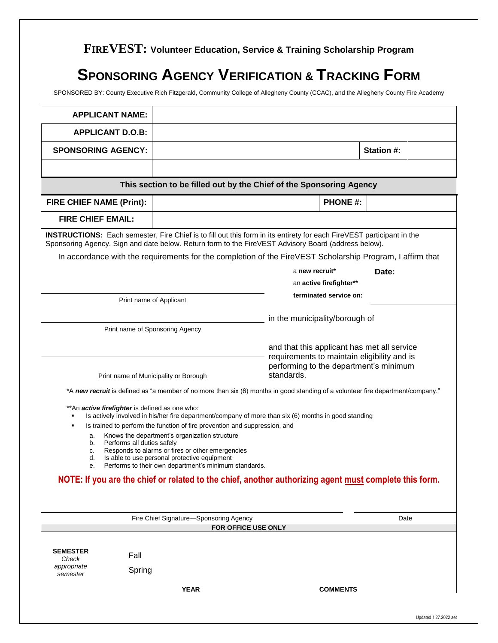## **SPONSORING AGENCY VERIFICATION & TRACKING FORM**

SPONSORED BY: County Executive Rich Fitzgerald, Community College of Allegheny County (CCAC), and the Allegheny County Fire Academy

| <b>APPLICANT NAME:</b>          |                                                       |                                                                                                       |                                                                                                                                                                                                                                     |                         |            |  |
|---------------------------------|-------------------------------------------------------|-------------------------------------------------------------------------------------------------------|-------------------------------------------------------------------------------------------------------------------------------------------------------------------------------------------------------------------------------------|-------------------------|------------|--|
| <b>APPLICANT D.O.B:</b>         |                                                       |                                                                                                       |                                                                                                                                                                                                                                     |                         |            |  |
| <b>SPONSORING AGENCY:</b>       |                                                       |                                                                                                       |                                                                                                                                                                                                                                     |                         | Station #: |  |
|                                 |                                                       |                                                                                                       |                                                                                                                                                                                                                                     |                         |            |  |
|                                 |                                                       |                                                                                                       | This section to be filled out by the Chief of the Sponsoring Agency                                                                                                                                                                 |                         |            |  |
| <b>FIRE CHIEF NAME (Print):</b> |                                                       |                                                                                                       |                                                                                                                                                                                                                                     | <b>PHONE #:</b>         |            |  |
| <b>FIRE CHIEF EMAIL:</b>        |                                                       |                                                                                                       |                                                                                                                                                                                                                                     |                         |            |  |
|                                 |                                                       |                                                                                                       | <b>INSTRUCTIONS:</b> Each semester, Fire Chief is to fill out this form in its entirety for each FireVEST participant in the<br>Sponsoring Agency. Sign and date below. Return form to the FireVEST Advisory Board (address below). |                         |            |  |
|                                 |                                                       |                                                                                                       | In accordance with the requirements for the completion of the FireVEST Scholarship Program, I affirm that                                                                                                                           |                         |            |  |
|                                 |                                                       |                                                                                                       | a new recruit*                                                                                                                                                                                                                      |                         | Date:      |  |
|                                 |                                                       |                                                                                                       |                                                                                                                                                                                                                                     | an active firefighter** |            |  |
|                                 | Print name of Applicant                               |                                                                                                       |                                                                                                                                                                                                                                     | terminated service on:  |            |  |
|                                 |                                                       |                                                                                                       |                                                                                                                                                                                                                                     |                         |            |  |
|                                 | Print name of Sponsoring Agency                       |                                                                                                       | in the municipality/borough of                                                                                                                                                                                                      |                         |            |  |
|                                 |                                                       |                                                                                                       |                                                                                                                                                                                                                                     |                         |            |  |
|                                 |                                                       |                                                                                                       | and that this applicant has met all service<br>requirements to maintain eligibility and is                                                                                                                                          |                         |            |  |
|                                 |                                                       |                                                                                                       | performing to the department's minimum                                                                                                                                                                                              |                         |            |  |
|                                 | Print name of Municipality or Borough                 |                                                                                                       | standards.                                                                                                                                                                                                                          |                         |            |  |
|                                 |                                                       |                                                                                                       | *A new recruit is defined as "a member of no more than six (6) months in good standing of a volunteer fire department/company."                                                                                                     |                         |            |  |
|                                 | **An <i>active firefighter</i> is defined as one who: |                                                                                                       | Is actively involved in his/her fire department/company of more than six (6) months in good standing                                                                                                                                |                         |            |  |
|                                 |                                                       | Is trained to perform the function of fire prevention and suppression, and                            |                                                                                                                                                                                                                                     |                         |            |  |
| a.<br>b.                        | Performs all duties safely                            | Knows the department's organization structure                                                         |                                                                                                                                                                                                                                     |                         |            |  |
| c.                              |                                                       | Responds to alarms or fires or other emergencies                                                      |                                                                                                                                                                                                                                     |                         |            |  |
| d.                              |                                                       | Is able to use personal protective equipment<br>Performs to their own department's minimum standards. |                                                                                                                                                                                                                                     |                         |            |  |
|                                 |                                                       |                                                                                                       | NOTE: If you are the chief or related to the chief, another authorizing agent must complete this form.                                                                                                                              |                         |            |  |
|                                 |                                                       |                                                                                                       |                                                                                                                                                                                                                                     |                         |            |  |
|                                 |                                                       |                                                                                                       |                                                                                                                                                                                                                                     |                         |            |  |
|                                 |                                                       | Fire Chief Signature-Sponsoring Agency                                                                |                                                                                                                                                                                                                                     |                         | Date       |  |
|                                 |                                                       |                                                                                                       | FOR OFFICE USE ONLY                                                                                                                                                                                                                 |                         |            |  |
|                                 |                                                       |                                                                                                       |                                                                                                                                                                                                                                     |                         |            |  |
| <b>SEMESTER</b><br>Check        | Fall                                                  |                                                                                                       |                                                                                                                                                                                                                                     |                         |            |  |
| appropriate<br>semester         | Spring                                                |                                                                                                       |                                                                                                                                                                                                                                     |                         |            |  |
|                                 |                                                       |                                                                                                       |                                                                                                                                                                                                                                     |                         |            |  |
|                                 |                                                       | <b>YEAR</b>                                                                                           |                                                                                                                                                                                                                                     | <b>COMMENTS</b>         |            |  |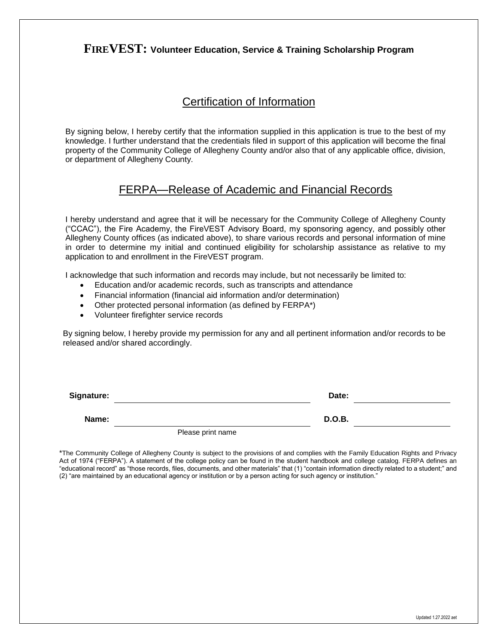### Certification of Information

By signing below, I hereby certify that the information supplied in this application is true to the best of my knowledge. I further understand that the credentials filed in support of this application will become the final property of the Community College of Allegheny County and/or also that of any applicable office, division, or department of Allegheny County.

### FERPA—Release of Academic and Financial Records

I hereby understand and agree that it will be necessary for the Community College of Allegheny County ("CCAC"), the Fire Academy, the FireVEST Advisory Board, my sponsoring agency, and possibly other Allegheny County offices (as indicated above), to share various records and personal information of mine in order to determine my initial and continued eligibility for scholarship assistance as relative to my application to and enrollment in the FireVEST program.

I acknowledge that such information and records may include, but not necessarily be limited to:

- Education and/or academic records, such as transcripts and attendance
- Financial information (financial aid information and/or determination)
- Other protected personal information (as defined by FERPA\*)
- Volunteer firefighter service records

By signing below, I hereby provide my permission for any and all pertinent information and/or records to be released and/or shared accordingly.

| Signature: |                   | Date:         |  |
|------------|-------------------|---------------|--|
| Name:      |                   | <b>D.O.B.</b> |  |
|            | Please print name |               |  |

\*The Community College of Allegheny County is subject to the provisions of and complies with the Family Education Rights and Privacy Act of 1974 ("FERPA"). A statement of the college policy can be found in the student handbook and college catalog. FERPA defines an "educational record" as "those records, files, documents, and other materials" that (1) "contain information directly related to a student;" and (2) "are maintained by an educational agency or institution or by a person acting for such agency or institution."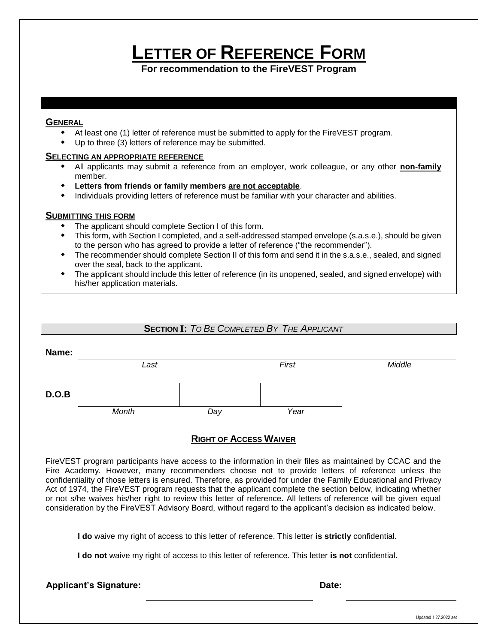## **LETTER OF REFERENCE FORM**

**For recommendation to the FireVEST Program**

#### **GENERAL**

- At least one (1) letter of reference must be submitted to apply for the FireVEST program.
- Up to three (3) letters of reference may be submitted.

#### **SELECTING AN APPROPRIATE REFERENCE**

- All applicants may submit a reference from an employer, work colleague, or any other **non-family** member.
- **Letters from friends or family members are not acceptable**.
- Individuals providing letters of reference must be familiar with your character and abilities.

#### **SUBMITTING THIS FORM**

- The applicant should complete Section I of this form.
- This form, with Section I completed, and a self-addressed stamped envelope (s.a.s.e.), should be given to the person who has agreed to provide a letter of reference ("the recommender").
- The recommender should complete Section II of this form and send it in the s.a.s.e., sealed, and signed over the seal, back to the applicant.
- The applicant should include this letter of reference (in its unopened, sealed, and signed envelope) with his/her application materials.

#### **SECTION I:** *TO BE COMPLETED BY THE APPLICANT*

| Name: |       |     |       |        |
|-------|-------|-----|-------|--------|
|       | Last  |     | First | Middle |
|       |       |     |       |        |
| D.O.B |       |     |       |        |
|       | Month | Day | Year  |        |

### **RIGHT OF ACCESS WAIVER**

FireVEST program participants have access to the information in their files as maintained by CCAC and the Fire Academy. However, many recommenders choose not to provide letters of reference unless the confidentiality of those letters is ensured. Therefore, as provided for under the Family Educational and Privacy Act of 1974, the FireVEST program requests that the applicant complete the section below, indicating whether or not s/he waives his/her right to review this letter of reference. All letters of reference will be given equal consideration by the FireVEST Advisory Board, without regard to the applicant's decision as indicated below.

**I do** waive my right of access to this letter of reference. This letter **is strictly** confidential.

**I do not** waive my right of access to this letter of reference. This letter **is not** confidential.

Applicant's Signature: **Date: Date: Date: Date: Date: Date: Date: Date: Date: Date: Date: Date: Date: Date: Date: Date: Date: Date: Date: Date: Date: Date: Date: Date: Date:**